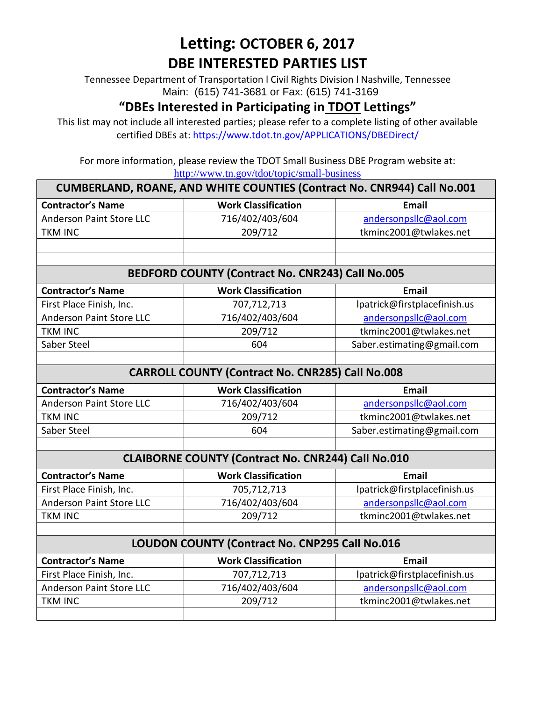# **Letting: OCTOBER 6, 2017 DBE INTERESTED PARTIES LIST**

Tennessee Department of Transportation l Civil Rights Division l Nashville, Tennessee Main: (615) 741-3681 or Fax: (615) 741-3169

### **"DBEs Interested in Participating in TDOT Lettings"**

This list may not include all interested parties; please refer to a complete listing of other available certified DBEs at:<https://www.tdot.tn.gov/APPLICATIONS/DBEDirect/>

For more information, please review the TDOT Small Business DBE Program website at: <http://www.tn.gov/tdot/topic/small-business>

| <b>CUMBERLAND, ROANE, AND WHITE COUNTIES (Contract No. CNR944) Call No.001</b> |                            |                              |  |  |
|--------------------------------------------------------------------------------|----------------------------|------------------------------|--|--|
| <b>Contractor's Name</b>                                                       | <b>Work Classification</b> | Email                        |  |  |
| <b>Anderson Paint Store LLC</b>                                                | 716/402/403/604            | andersonpsllc@aol.com        |  |  |
| <b>TKM INC</b>                                                                 | 209/712                    | tkminc2001@twlakes.net       |  |  |
|                                                                                |                            |                              |  |  |
|                                                                                |                            |                              |  |  |
| BEDFORD COUNTY (Contract No. CNR243) Call No.005                               |                            |                              |  |  |
| <b>Contractor's Name</b>                                                       | <b>Work Classification</b> | <b>Email</b>                 |  |  |
| First Place Finish, Inc.                                                       | 707,712,713                | lpatrick@firstplacefinish.us |  |  |
| <b>Anderson Paint Store LLC</b>                                                | 716/402/403/604            | andersonpsllc@aol.com        |  |  |
| <b>TKM INC</b>                                                                 | 209/712                    | tkminc2001@twlakes.net       |  |  |
| Saber Steel                                                                    | 604                        | Saber.estimating@gmail.com   |  |  |
|                                                                                |                            |                              |  |  |
| <b>CARROLL COUNTY (Contract No. CNR285) Call No.008</b>                        |                            |                              |  |  |
| <b>Contractor's Name</b>                                                       | <b>Work Classification</b> | <b>Email</b>                 |  |  |
| <b>Anderson Paint Store LLC</b>                                                | 716/402/403/604            | andersonpsllc@aol.com        |  |  |
| <b>TKM INC</b>                                                                 | 209/712                    | tkminc2001@twlakes.net       |  |  |
| Saber Steel                                                                    | 604                        | Saber.estimating@gmail.com   |  |  |
|                                                                                |                            |                              |  |  |
| <b>CLAIBORNE COUNTY (Contract No. CNR244) Call No.010</b>                      |                            |                              |  |  |
| <b>Contractor's Name</b>                                                       | <b>Work Classification</b> | <b>Email</b>                 |  |  |
| First Place Finish, Inc.                                                       | 705,712,713                | lpatrick@firstplacefinish.us |  |  |
| <b>Anderson Paint Store LLC</b>                                                | 716/402/403/604            | andersonpsllc@aol.com        |  |  |
| <b>TKM INC</b>                                                                 | 209/712                    | tkminc2001@twlakes.net       |  |  |
|                                                                                |                            |                              |  |  |
| LOUDON COUNTY (Contract No. CNP295 Call No.016                                 |                            |                              |  |  |
| <b>Contractor's Name</b>                                                       | <b>Work Classification</b> | Email                        |  |  |
| First Place Finish, Inc.                                                       | 707,712,713                | lpatrick@firstplacefinish.us |  |  |
| <b>Anderson Paint Store LLC</b>                                                | 716/402/403/604            | andersonpsllc@aol.com        |  |  |
| <b>TKM INC</b>                                                                 | 209/712                    | tkminc2001@twlakes.net       |  |  |
|                                                                                |                            |                              |  |  |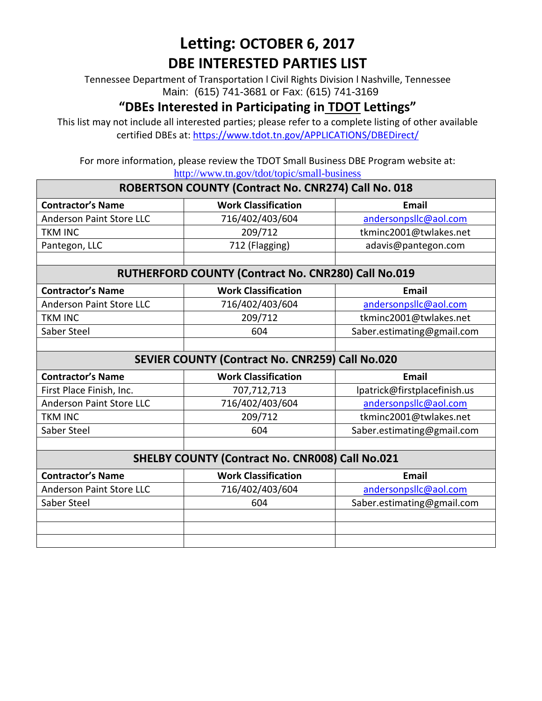# **Letting: OCTOBER 6, 2017 DBE INTERESTED PARTIES LIST**

Tennessee Department of Transportation l Civil Rights Division l Nashville, Tennessee Main: (615) 741-3681 or Fax: (615) 741-3169

#### **"DBEs Interested in Participating in TDOT Lettings"**

This list may not include all interested parties; please refer to a complete listing of other available certified DBEs at:<https://www.tdot.tn.gov/APPLICATIONS/DBEDirect/>

For more information, please review the TDOT Small Business DBE Program website at: <http://www.tn.gov/tdot/topic/small-business>

| ROBERTSON COUNTY (Contract No. CNR274) Call No. 018    |                            |                              |  |  |
|--------------------------------------------------------|----------------------------|------------------------------|--|--|
| <b>Contractor's Name</b>                               | <b>Work Classification</b> | <b>Email</b>                 |  |  |
| <b>Anderson Paint Store LLC</b>                        | 716/402/403/604            | andersonpsllc@aol.com        |  |  |
| <b>TKM INC</b>                                         | 209/712                    | tkminc2001@twlakes.net       |  |  |
| Pantegon, LLC                                          | 712 (Flagging)             | adavis@pantegon.com          |  |  |
|                                                        |                            |                              |  |  |
| RUTHERFORD COUNTY (Contract No. CNR280) Call No.019    |                            |                              |  |  |
| <b>Contractor's Name</b>                               | <b>Work Classification</b> | <b>Email</b>                 |  |  |
| <b>Anderson Paint Store LLC</b>                        | 716/402/403/604            | andersonpsllc@aol.com        |  |  |
| <b>TKM INC</b>                                         | 209/712                    | tkminc2001@twlakes.net       |  |  |
| Saber Steel                                            | 604                        | Saber.estimating@gmail.com   |  |  |
|                                                        |                            |                              |  |  |
| SEVIER COUNTY (Contract No. CNR259) Call No.020        |                            |                              |  |  |
| <b>Contractor's Name</b>                               | <b>Work Classification</b> | <b>Email</b>                 |  |  |
| First Place Finish, Inc.                               | 707,712,713                | lpatrick@firstplacefinish.us |  |  |
| <b>Anderson Paint Store LLC</b>                        | 716/402/403/604            | andersonpsllc@aol.com        |  |  |
| <b>TKM INC</b>                                         | 209/712                    | tkminc2001@twlakes.net       |  |  |
| Saber Steel                                            | 604                        | Saber.estimating@gmail.com   |  |  |
|                                                        |                            |                              |  |  |
| <b>SHELBY COUNTY (Contract No. CNR008) Call No.021</b> |                            |                              |  |  |
| <b>Contractor's Name</b>                               | <b>Work Classification</b> | <b>Email</b>                 |  |  |
| <b>Anderson Paint Store LLC</b>                        | 716/402/403/604            | andersonpsllc@aol.com        |  |  |
| Saber Steel                                            | 604                        | Saber.estimating@gmail.com   |  |  |
|                                                        |                            |                              |  |  |
|                                                        |                            |                              |  |  |
|                                                        |                            |                              |  |  |